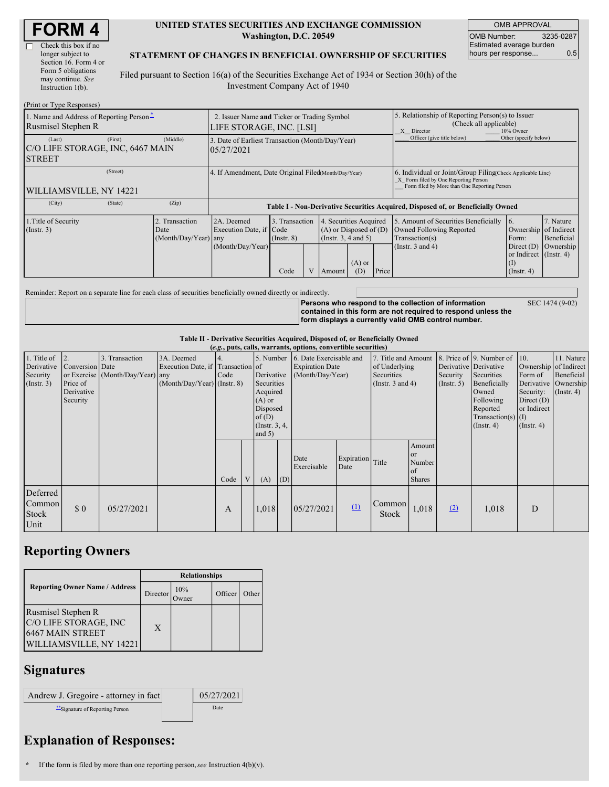| <b>FORM4</b> |
|--------------|
|--------------|

 $\overline{\Gamma}$ 

| Check this box if no  |
|-----------------------|
| longer subject to     |
| Section 16. Form 4 or |
| Form 5 obligations    |
| may continue. See     |
| Instruction $1(b)$ .  |

#### **UNITED STATES SECURITIES AND EXCHANGE COMMISSION Washington, D.C. 20549**

OMB APPROVAL OMB Number: 3235-0287 Estimated average burden hours per response... 0.5

### **STATEMENT OF CHANGES IN BENEFICIAL OWNERSHIP OF SECURITIES**

Filed pursuant to Section 16(a) of the Securities Exchange Act of 1934 or Section 30(h) of the Investment Company Act of 1940

| (Print or Type Responses)                                              |                                                                         |                                                                                  |                                           |  |                                                                                                                    |                                                                                                       |                                                                                                                                                    |                                                                                                             |                                                                                                            |                                      |  |
|------------------------------------------------------------------------|-------------------------------------------------------------------------|----------------------------------------------------------------------------------|-------------------------------------------|--|--------------------------------------------------------------------------------------------------------------------|-------------------------------------------------------------------------------------------------------|----------------------------------------------------------------------------------------------------------------------------------------------------|-------------------------------------------------------------------------------------------------------------|------------------------------------------------------------------------------------------------------------|--------------------------------------|--|
| 1. Name and Address of Reporting Person-<br>Rusmisel Stephen R         | 2. Issuer Name and Ticker or Trading Symbol<br>LIFE STORAGE, INC. [LSI] |                                                                                  |                                           |  |                                                                                                                    | 5. Relationship of Reporting Person(s) to Issuer<br>(Check all applicable)<br>X Director<br>10% Owner |                                                                                                                                                    |                                                                                                             |                                                                                                            |                                      |  |
| (First)<br>(Last)<br>C/O LIFE STORAGE, INC, 6467 MAIN<br><b>STREET</b> | 3. Date of Earliest Transaction (Month/Day/Year)<br>05/27/2021          |                                                                                  |                                           |  |                                                                                                                    |                                                                                                       | Officer (give title below)                                                                                                                         | Other (specify below)                                                                                       |                                                                                                            |                                      |  |
| (Street)<br><b>WILLIAMSVILLE, NY 14221</b>                             | 4. If Amendment, Date Original Filed(Month/Day/Year)                    |                                                                                  |                                           |  |                                                                                                                    |                                                                                                       | 6. Individual or Joint/Group Filing Check Applicable Line)<br>X Form filed by One Reporting Person<br>Form filed by More than One Reporting Person |                                                                                                             |                                                                                                            |                                      |  |
| (City)<br>(State)                                                      | (Zip)                                                                   | Table I - Non-Derivative Securities Acquired, Disposed of, or Beneficially Owned |                                           |  |                                                                                                                    |                                                                                                       |                                                                                                                                                    |                                                                                                             |                                                                                                            |                                      |  |
| 1. Title of Security<br>$($ Instr. 3 $)$                               | 2. Transaction<br>Date<br>(Month/Day/Year) any                          | 2A. Deemed<br>Execution Date, if Code<br>(Month/Day/Year)                        | 3. Transaction<br>$($ Instr. $8)$<br>Code |  | 4. Securities Acquired<br>$(A)$ or Disposed of $(D)$<br>(Insert. 3, 4 and 5)<br>$(A)$ or<br>Price<br>(D)<br>Amount |                                                                                                       |                                                                                                                                                    | 5. Amount of Securities Beneficially<br>Owned Following Reported<br>Transaction(s)<br>(Instr. $3$ and $4$ ) | 16.<br>Ownership of Indirect<br>Form:<br>Direct $(D)$<br>or Indirect (Instr. 4)<br>(I)<br>$($ Instr. 4 $)$ | 7. Nature<br>Beneficial<br>Ownership |  |

Reminder: Report on a separate line for each class of securities beneficially owned directly or indirectly.

**Persons who respond to the collection of information contained in this form are not required to respond unless the form displays a currently valid OMB control number.**

SEC 1474 (9-02)

#### **Table II - Derivative Securities Acquired, Disposed of, or Beneficially Owned**

| (e.g., puts, calls, warrants, options, convertible securities) |                                                       |                                                    |                                                                                  |      |  |                                                                                                      |     |                                                                                                                                                                |                          |                 |                                                          |                                                                                                                                                          |                                                                                                                |                                                           |  |
|----------------------------------------------------------------|-------------------------------------------------------|----------------------------------------------------|----------------------------------------------------------------------------------|------|--|------------------------------------------------------------------------------------------------------|-----|----------------------------------------------------------------------------------------------------------------------------------------------------------------|--------------------------|-----------------|----------------------------------------------------------|----------------------------------------------------------------------------------------------------------------------------------------------------------|----------------------------------------------------------------------------------------------------------------|-----------------------------------------------------------|--|
| 1. Title of<br>Derivative<br>Security<br>(Insert. 3)           | Conversion Date<br>Price of<br>Derivative<br>Security | 3. Transaction<br>or Exercise (Month/Day/Year) any | 3A. Deemed<br>Execution Date, if Transaction of<br>$(Month/Day/Year)$ (Instr. 8) | Code |  | Derivative<br>Securities<br>Acquired<br>$(A)$ or<br>Disposed<br>of(D)<br>(Instr. $3, 4,$<br>and $5)$ |     | 5. Number 6. Date Exercisable and<br>7. Title and Amount<br><b>Expiration Date</b><br>of Underlying<br>(Month/Day/Year)<br>Securities<br>(Instr. $3$ and $4$ ) |                          |                 | Derivative Derivative<br>Security<br>$($ Instr. 5 $)$    | 8. Price of $\vert$ 9. Number of $\vert$ 10.<br>Securities<br>Beneficially<br>Owned<br>Following<br>Reported<br>$Transaction(s)$ (I)<br>$($ Instr. 4 $)$ | Ownership of Indirect<br>Form of<br>Derivative<br>Security:<br>Direct $(D)$<br>or Indirect<br>$($ Instr. 4 $)$ | 11. Nature<br>Beneficial<br>Ownership<br>$($ Instr. 4 $)$ |  |
|                                                                |                                                       |                                                    |                                                                                  | Code |  | (A)                                                                                                  | (D) | Date<br>Exercisable                                                                                                                                            | Expiration<br>Date       | Title           | Amount<br><sub>or</sub><br>Number<br>of<br><b>Shares</b> |                                                                                                                                                          |                                                                                                                |                                                           |  |
| Deferred<br>Common<br>Stock<br>Unit                            | \$0                                                   | 05/27/2021                                         |                                                                                  | A    |  | 1,018                                                                                                |     | 05/27/2021                                                                                                                                                     | $\mathbf{\underline{u}}$ | Common<br>Stock | 1,018                                                    | (2)                                                                                                                                                      | 1,018                                                                                                          | D                                                         |  |

## **Reporting Owners**

|                                                                                            | <b>Relationships</b> |             |         |       |  |  |  |
|--------------------------------------------------------------------------------------------|----------------------|-------------|---------|-------|--|--|--|
| <b>Reporting Owner Name / Address</b>                                                      | Director             | 10%<br>wner | Officer | Other |  |  |  |
| Rusmisel Stephen R<br>C/O LIFE STORAGE, INC<br>6467 MAIN STREET<br>WILLIAMSVILLE, NY 14221 | X                    |             |         |       |  |  |  |

### **Signatures**

| Andrew J. Gregoire - attorney in fact | 05/27/2021 |
|---------------------------------------|------------|
| "Signature of Reporting Person        | Date       |

# **Explanation of Responses:**

**\*** If the form is filed by more than one reporting person,*see* Instruction 4(b)(v).